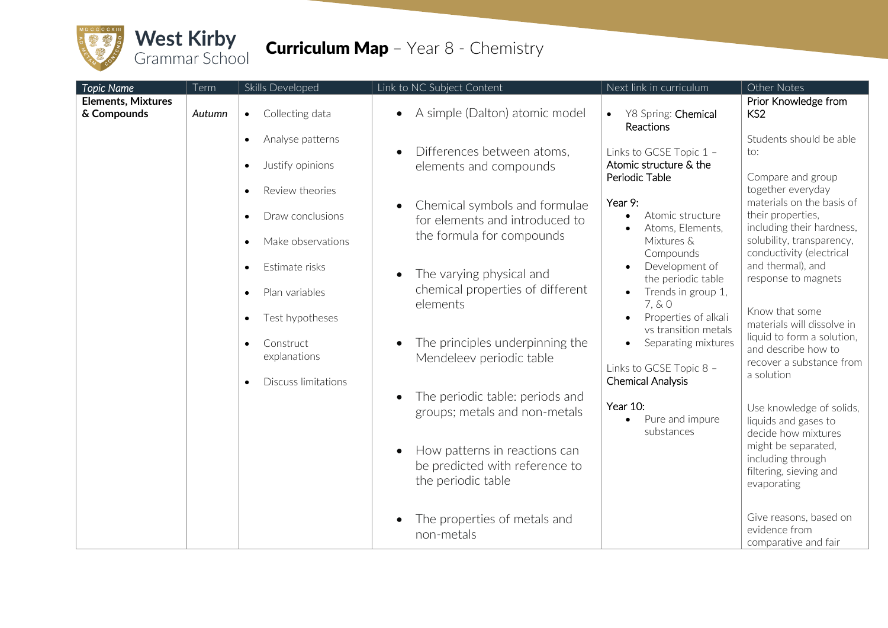

## **Curriculum Map** - Year 8 - Chemistry

| <b>Topic Name</b>                        | Term   | Skills Developed                                                                                | Link to NC Subject Content                                                                   | Next link in curriculum                                                                                         | Other Notes                                                                                                                   |
|------------------------------------------|--------|-------------------------------------------------------------------------------------------------|----------------------------------------------------------------------------------------------|-----------------------------------------------------------------------------------------------------------------|-------------------------------------------------------------------------------------------------------------------------------|
| <b>Elements, Mixtures</b><br>& Compounds | Autumn | Collecting data<br>$\bullet$                                                                    | A simple (Dalton) atomic model                                                               | Y8 Spring: Chemical<br>$\bullet$<br>Reactions                                                                   | Prior Knowledge from<br>KS <sub>2</sub>                                                                                       |
|                                          |        | Analyse patterns<br>$\bullet$<br>Justify opinions<br>$\bullet$                                  | Differences between atoms,<br>elements and compounds                                         | Links to GCSE Topic 1 -<br>Atomic structure & the<br>Periodic Table                                             | Students should be able<br>to:<br>Compare and group                                                                           |
|                                          |        | Review theories<br>$\bullet$<br>Draw conclusions<br>$\bullet$<br>Make observations<br>$\bullet$ | Chemical symbols and formulae<br>for elements and introduced to<br>the formula for compounds | Year 9:<br>Atomic structure<br>Atoms, Elements,<br>Mixtures &                                                   | together everyday<br>materials on the basis of<br>their properties,<br>including their hardness,<br>solubility, transparency, |
|                                          |        | Estimate risks<br>$\bullet$<br>Plan variables<br>$\bullet$<br>Test hypotheses<br>$\bullet$      | The varying physical and<br>chemical properties of different<br>elements                     | Compounds<br>Development of<br>the periodic table<br>Trends in group 1,<br>7, & 0<br>Properties of alkali       | conductivity (electrical<br>and thermal), and<br>response to magnets<br>Know that some                                        |
|                                          |        | Construct<br>$\bullet$<br>explanations<br><b>Discuss limitations</b>                            | The principles underpinning the<br>Mendeleev periodic table                                  | vs transition metals<br>Separating mixtures<br>$\bullet$<br>Links to GCSE Topic 8 -<br><b>Chemical Analysis</b> | materials will dissolve in<br>liquid to form a solution,<br>and describe how to<br>recover a substance from<br>a solution     |
|                                          |        |                                                                                                 | The periodic table: periods and<br>groups; metals and non-metals                             | Year 10:<br>Pure and impure<br>$\bullet$<br>substances                                                          | Use knowledge of solids,<br>liquids and gases to<br>decide how mixtures                                                       |
|                                          |        |                                                                                                 | How patterns in reactions can<br>be predicted with reference to<br>the periodic table        |                                                                                                                 | might be separated,<br>including through<br>filtering, sieving and<br>evaporating                                             |
|                                          |        |                                                                                                 | The properties of metals and<br>non-metals                                                   |                                                                                                                 | Give reasons, based on<br>evidence from<br>comparative and fair                                                               |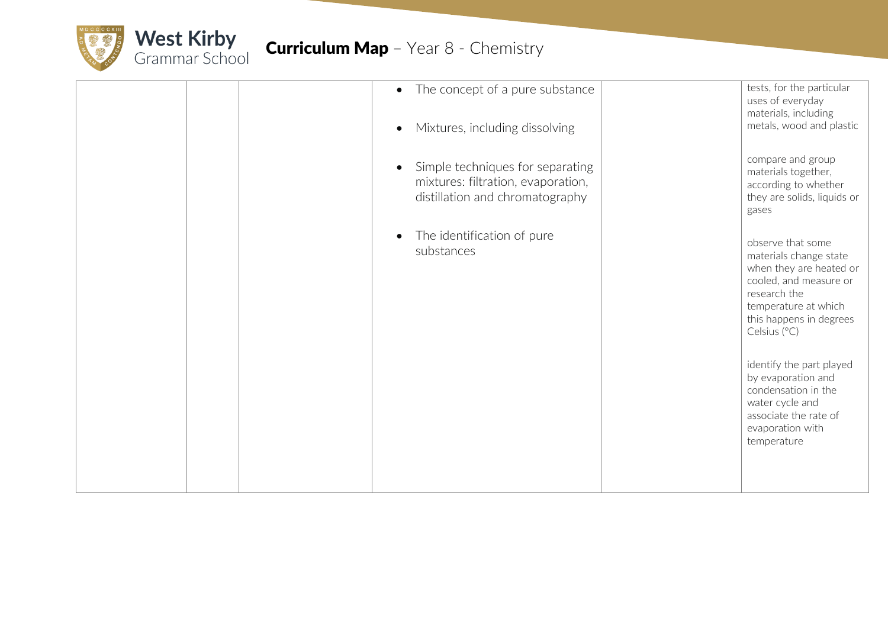

|  | • The concept of a pure substance<br>Mixtures, including dissolving                                                    | tests, for the particular<br>uses of everyday<br>materials, including<br>metals, wood and plastic                                                                                   |
|--|------------------------------------------------------------------------------------------------------------------------|-------------------------------------------------------------------------------------------------------------------------------------------------------------------------------------|
|  | Simple techniques for separating<br>$\bullet$<br>mixtures: filtration, evaporation,<br>distillation and chromatography | compare and group<br>materials together,<br>according to whether<br>they are solids, liquids or<br>gases                                                                            |
|  | The identification of pure<br>substances                                                                               | observe that some<br>materials change state<br>when they are heated or<br>cooled, and measure or<br>research the<br>temperature at which<br>this happens in degrees<br>Celsius (°C) |
|  |                                                                                                                        | identify the part played<br>by evaporation and<br>condensation in the<br>water cycle and<br>associate the rate of<br>evaporation with<br>temperature                                |
|  |                                                                                                                        |                                                                                                                                                                                     |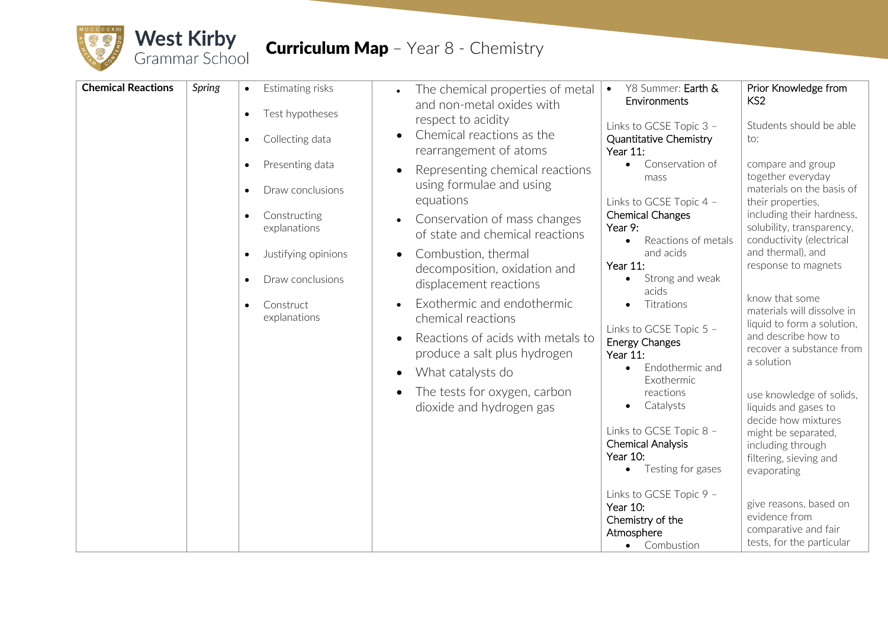

## **Curriculum Map** - Year 8 - Chemistry

| <b>Chemical Reactions</b> | Spring | Estimating risks<br>$\bullet$<br>Test hypotheses<br>$\bullet$<br>Collecting data<br>$\bullet$<br>Presenting data<br>$\bullet$<br>Draw conclusions<br>Constructing<br>$\bullet$<br>explanations<br>Justifying opinions<br>$\bullet$<br>Draw conclusions<br>$\bullet$<br>Construct<br>$\bullet$<br>explanations | The chemical properties of metal<br>and non-metal oxides with<br>respect to acidity<br>Chemical reactions as the<br>$\bullet$<br>rearrangement of atoms<br>Representing chemical reactions<br>$\bullet$<br>using formulae and using<br>equations<br>Conservation of mass changes<br>$\bullet$<br>of state and chemical reactions<br>Combustion, thermal<br>$\bullet$<br>decomposition, oxidation and<br>displacement reactions<br>Exothermic and endothermic<br>$\bullet$<br>chemical reactions<br>Reactions of acids with metals to<br>produce a salt plus hydrogen<br>What catalysts do<br>$\bullet$<br>The tests for oxygen, carbon<br>$\bullet$<br>dioxide and hydrogen gas | Y8 Summer: Earth &<br>$\bullet$<br>Environments<br>Links to GCSE Topic 3 -<br>Quantitative Chemistry<br><b>Year 11:</b><br>Conservation of<br>$\bullet$<br>mass<br>Links to GCSE Topic 4 -<br><b>Chemical Changes</b><br>Year 9:<br>Reactions of metals<br>$\bullet$<br>and acids<br>Year 11:<br>Strong and weak<br>$\bullet$<br>acids<br>Titrations<br>Links to GCSE Topic 5 -<br><b>Energy Changes</b><br><b>Year 11:</b><br>Endothermic and<br>$\bullet$<br>Exothermic<br>reactions<br>Catalysts<br>Links to GCSE Topic 8 -<br><b>Chemical Analysis</b><br>Year 10:<br>Testing for gases<br>$\bullet$<br>Links to GCSE Topic 9 -<br>Year 10:<br>Chemistry of the<br>Atmosphere<br>• Combustion | Prior Knowledge from<br>KS <sub>2</sub><br>Students should be able<br>to:<br>compare and group<br>together everyday<br>materials on the basis of<br>their properties,<br>including their hardness,<br>solubility, transparency,<br>conductivity (electrical<br>and thermal), and<br>response to magnets<br>know that some<br>materials will dissolve in<br>liquid to form a solution,<br>and describe how to<br>recover a substance from<br>a solution<br>use knowledge of solids,<br>liquids and gases to<br>decide how mixtures<br>might be separated,<br>including through<br>filtering, sieving and<br>evaporating<br>give reasons, based on<br>evidence from<br>comparative and fair<br>tests, for the particular |
|---------------------------|--------|---------------------------------------------------------------------------------------------------------------------------------------------------------------------------------------------------------------------------------------------------------------------------------------------------------------|---------------------------------------------------------------------------------------------------------------------------------------------------------------------------------------------------------------------------------------------------------------------------------------------------------------------------------------------------------------------------------------------------------------------------------------------------------------------------------------------------------------------------------------------------------------------------------------------------------------------------------------------------------------------------------|---------------------------------------------------------------------------------------------------------------------------------------------------------------------------------------------------------------------------------------------------------------------------------------------------------------------------------------------------------------------------------------------------------------------------------------------------------------------------------------------------------------------------------------------------------------------------------------------------------------------------------------------------------------------------------------------------|------------------------------------------------------------------------------------------------------------------------------------------------------------------------------------------------------------------------------------------------------------------------------------------------------------------------------------------------------------------------------------------------------------------------------------------------------------------------------------------------------------------------------------------------------------------------------------------------------------------------------------------------------------------------------------------------------------------------|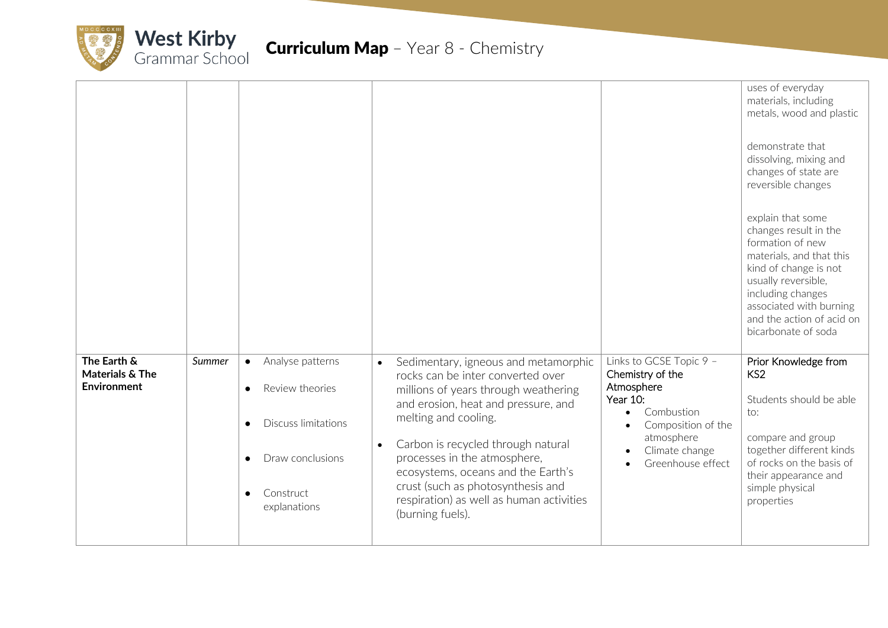

|                                                      |        |                                                                                                                                                                        |                                                                                                                                                                                                                                                                                                                                                                                                                             |                                                                                                                                                                | uses of everyday<br>materials, including<br>metals, wood and plastic<br>demonstrate that<br>dissolving, mixing and<br>changes of state are<br>reversible changes<br>explain that some<br>changes result in the<br>formation of new<br>materials, and that this<br>kind of change is not<br>usually reversible,<br>including changes<br>associated with burning<br>and the action of acid on<br>bicarbonate of soda |
|------------------------------------------------------|--------|------------------------------------------------------------------------------------------------------------------------------------------------------------------------|-----------------------------------------------------------------------------------------------------------------------------------------------------------------------------------------------------------------------------------------------------------------------------------------------------------------------------------------------------------------------------------------------------------------------------|----------------------------------------------------------------------------------------------------------------------------------------------------------------|--------------------------------------------------------------------------------------------------------------------------------------------------------------------------------------------------------------------------------------------------------------------------------------------------------------------------------------------------------------------------------------------------------------------|
| The Earth &<br>Materials & The<br><b>Environment</b> | Summer | Analyse patterns<br>$\bullet$<br>Review theories<br><b>Discuss limitations</b><br>$\bullet$<br>Draw conclusions<br>$\bullet$<br>Construct<br>$\bullet$<br>explanations | Sedimentary, igneous and metamorphic<br>$\bullet$<br>rocks can be inter converted over<br>millions of years through weathering<br>and erosion, heat and pressure, and<br>melting and cooling.<br>Carbon is recycled through natural<br>$\bullet$<br>processes in the atmosphere,<br>ecosystems, oceans and the Earth's<br>crust (such as photosynthesis and<br>respiration) as well as human activities<br>(burning fuels). | Links to GCSE Topic 9 -<br>Chemistry of the<br>Atmosphere<br>Year 10:<br>Combustion<br>Composition of the<br>atmosphere<br>Climate change<br>Greenhouse effect | Prior Knowledge from<br>KS <sub>2</sub><br>Students should be able<br>to:<br>compare and group<br>together different kinds<br>of rocks on the basis of<br>their appearance and<br>simple physical<br>properties                                                                                                                                                                                                    |